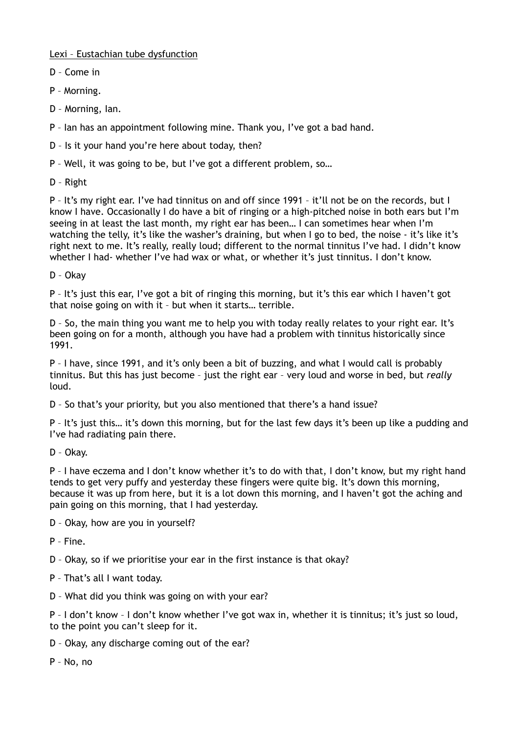Lexi – Eustachian tube dysfunction

- D Come in
- P Morning.
- D Morning, Ian.
- P Ian has an appointment following mine. Thank you, I've got a bad hand.
- D Is it your hand you're here about today, then?
- P Well, it was going to be, but I've got a different problem, so…
- D Right

P – It's my right ear. I've had tinnitus on and off since 1991 – it'll not be on the records, but I know I have. Occasionally I do have a bit of ringing or a high-pitched noise in both ears but I'm seeing in at least the last month, my right ear has been… I can sometimes hear when I'm watching the telly, it's like the washer's draining, but when I go to bed, the noise - it's like it's right next to me. It's really, really loud; different to the normal tinnitus I've had. I didn't know whether I had- whether I've had wax or what, or whether it's just tinnitus. I don't know.

D – Okay

P – It's just this ear, I've got a bit of ringing this morning, but it's this ear which I haven't got that noise going on with it – but when it starts… terrible.

D – So, the main thing you want me to help you with today really relates to your right ear. It's been going on for a month, although you have had a problem with tinnitus historically since 1991.

P – I have, since 1991, and it's only been a bit of buzzing, and what I would call is probably tinnitus. But this has just become – just the right ear – very loud and worse in bed, but *really* loud.

D – So that's your priority, but you also mentioned that there's a hand issue?

P – It's just this… it's down this morning, but for the last few days it's been up like a pudding and I've had radiating pain there.

D – Okay.

P – I have eczema and I don't know whether it's to do with that, I don't know, but my right hand tends to get very puffy and yesterday these fingers were quite big. It's down this morning, because it was up from here, but it is a lot down this morning, and I haven't got the aching and pain going on this morning, that I had yesterday.

D – Okay, how are you in yourself?

P – Fine.

D – Okay, so if we prioritise your ear in the first instance is that okay?

P – That's all I want today.

D – What did you think was going on with your ear?

P - I don't know - I don't know whether I've got wax in, whether it is tinnitus; it's just so loud, to the point you can't sleep for it.

D – Okay, any discharge coming out of the ear?

P – No, no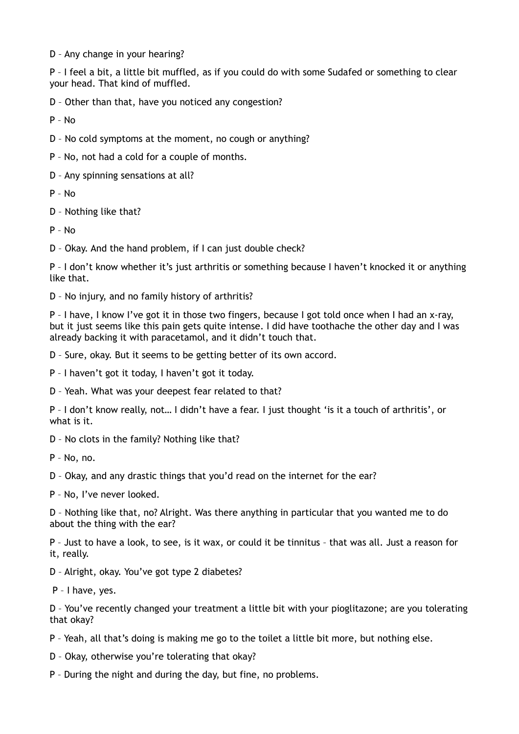D – Any change in your hearing?

P – I feel a bit, a little bit muffled, as if you could do with some Sudafed or something to clear your head. That kind of muffled.

D – Other than that, have you noticed any congestion?

P – No

D – No cold symptoms at the moment, no cough or anything?

P – No, not had a cold for a couple of months.

D – Any spinning sensations at all?

P – No

D – Nothing like that?

 $P - N<sub>0</sub>$ 

D – Okay. And the hand problem, if I can just double check?

P – I don't know whether it's just arthritis or something because I haven't knocked it or anything like that.

D – No injury, and no family history of arthritis?

P – I have, I know I've got it in those two fingers, because I got told once when I had an x-ray, but it just seems like this pain gets quite intense. I did have toothache the other day and I was already backing it with paracetamol, and it didn't touch that.

D – Sure, okay. But it seems to be getting better of its own accord.

P – I haven't got it today, I haven't got it today.

D – Yeah. What was your deepest fear related to that?

P – I don't know really, not… I didn't have a fear. I just thought 'is it a touch of arthritis', or what is it.

D – No clots in the family? Nothing like that?

P – No, no.

D – Okay, and any drastic things that you'd read on the internet for the ear?

P – No, I've never looked.

D – Nothing like that, no? Alright. Was there anything in particular that you wanted me to do about the thing with the ear?

P – Just to have a look, to see, is it wax, or could it be tinnitus – that was all. Just a reason for it, really.

D – Alright, okay. You've got type 2 diabetes?

P – I have, yes.

D – You've recently changed your treatment a little bit with your pioglitazone; are you tolerating that okay?

P – Yeah, all that's doing is making me go to the toilet a little bit more, but nothing else.

D – Okay, otherwise you're tolerating that okay?

P – During the night and during the day, but fine, no problems.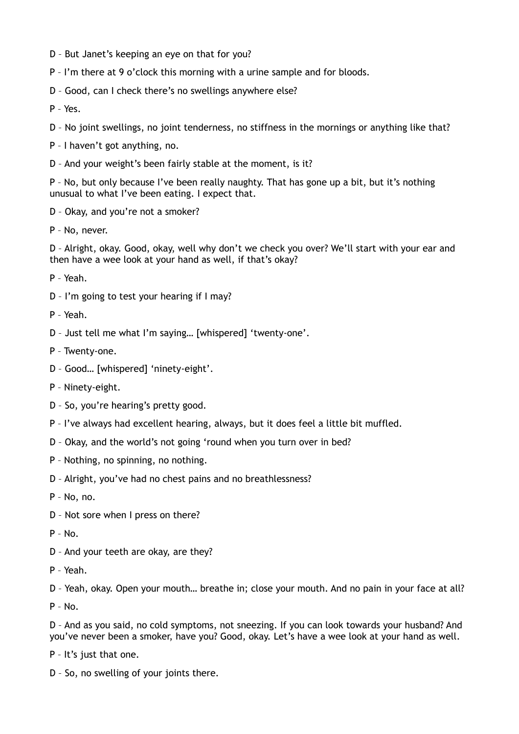- D But Janet's keeping an eye on that for you?
- P I'm there at 9 o'clock this morning with a urine sample and for bloods.
- D Good, can I check there's no swellings anywhere else?
- P Yes.
- D No joint swellings, no joint tenderness, no stiffness in the mornings or anything like that?
- P I haven't got anything, no.
- D And your weight's been fairly stable at the moment, is it?

P – No, but only because I've been really naughty. That has gone up a bit, but it's nothing unusual to what I've been eating. I expect that.

- D Okay, and you're not a smoker?
- P No, never.

D – Alright, okay. Good, okay, well why don't we check you over? We'll start with your ear and then have a wee look at your hand as well, if that's okay?

P – Yeah.

- D I'm going to test your hearing if I may?
- P Yeah.
- D Just tell me what I'm saying… [whispered] 'twenty-one'.
- P Twenty-one.
- D Good… [whispered] 'ninety-eight'.
- P Ninety-eight.
- D So, you're hearing's pretty good.
- P I've always had excellent hearing, always, but it does feel a little bit muffled.
- D Okay, and the world's not going 'round when you turn over in bed?
- P Nothing, no spinning, no nothing.
- D Alright, you've had no chest pains and no breathlessness?
- P No, no.
- D Not sore when I press on there?
- $P No.$
- D And your teeth are okay, are they?
- P Yeah.

D – Yeah, okay. Open your mouth… breathe in; close your mouth. And no pain in your face at all?

P – No.

D – And as you said, no cold symptoms, not sneezing. If you can look towards your husband? And you've never been a smoker, have you? Good, okay. Let's have a wee look at your hand as well.

P – It's just that one.

D – So, no swelling of your joints there.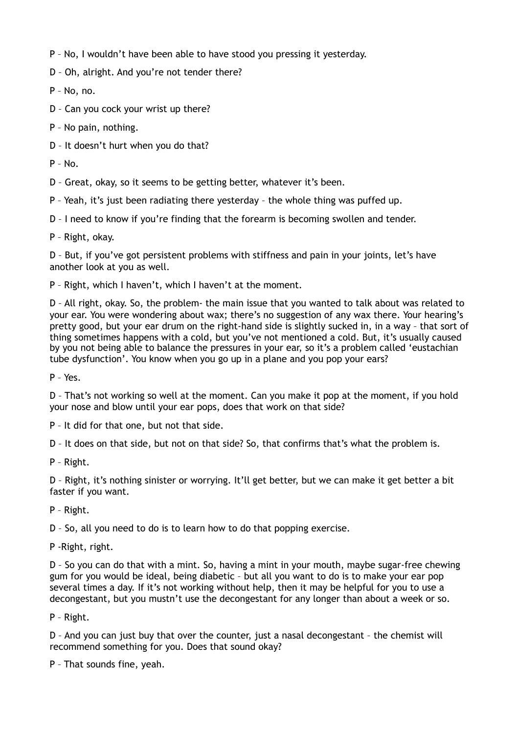- P No, I wouldn't have been able to have stood you pressing it yesterday.
- D Oh, alright. And you're not tender there?
- P No, no.
- D Can you cock your wrist up there?
- P No pain, nothing.
- D It doesn't hurt when you do that?
- $P No$ .
- D Great, okay, so it seems to be getting better, whatever it's been.
- P Yeah, it's just been radiating there yesterday the whole thing was puffed up.
- D I need to know if you're finding that the forearm is becoming swollen and tender.
- P Right, okay.

D – But, if you've got persistent problems with stiffness and pain in your joints, let's have another look at you as well.

P – Right, which I haven't, which I haven't at the moment.

D – All right, okay. So, the problem- the main issue that you wanted to talk about was related to your ear. You were wondering about wax; there's no suggestion of any wax there. Your hearing's pretty good, but your ear drum on the right-hand side is slightly sucked in, in a way – that sort of thing sometimes happens with a cold, but you've not mentioned a cold. But, it's usually caused by you not being able to balance the pressures in your ear, so it's a problem called 'eustachian tube dysfunction'. You know when you go up in a plane and you pop your ears?

P – Yes.

D – That's not working so well at the moment. Can you make it pop at the moment, if you hold your nose and blow until your ear pops, does that work on that side?

P – It did for that one, but not that side.

D – It does on that side, but not on that side? So, that confirms that's what the problem is.

P – Right.

D – Right, it's nothing sinister or worrying. It'll get better, but we can make it get better a bit faster if you want.

P – Right.

D – So, all you need to do is to learn how to do that popping exercise.

P -Right, right.

D – So you can do that with a mint. So, having a mint in your mouth, maybe sugar-free chewing gum for you would be ideal, being diabetic – but all you want to do is to make your ear pop several times a day. If it's not working without help, then it may be helpful for you to use a decongestant, but you mustn't use the decongestant for any longer than about a week or so.

P – Right.

D – And you can just buy that over the counter, just a nasal decongestant – the chemist will recommend something for you. Does that sound okay?

P – That sounds fine, yeah.